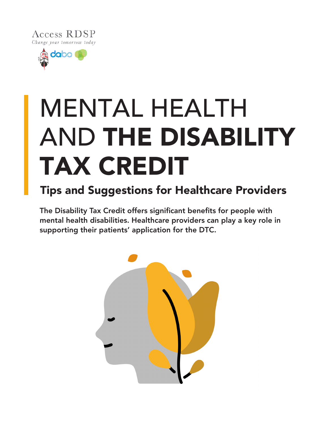



# MENTAL HEALTH AND THE DISABILITY TAX CREDIT

# Tips and Suggestions for Healthcare Providers

The Disability Tax Credit offers significant benefits for people with mental health disabilities. Healthcare providers can play a key role in supporting their patients' application for the DTC.

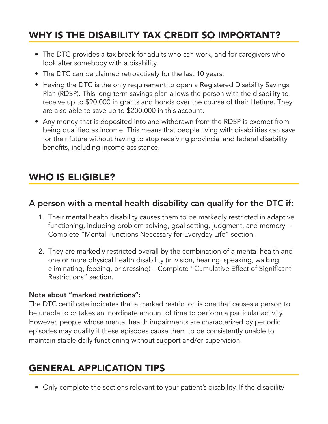# WHY IS THE DISABILITY TAX CREDIT SO IMPORTANT?

- The DTC provides a tax break for adults who can work, and for caregivers who look after somebody with a disability.
- The DTC can be claimed retroactively for the last 10 years.
- Having the DTC is the only requirement to open a Registered Disability Savings Plan (RDSP). This long-term savings plan allows the person with the disability to receive up to \$90,000 in grants and bonds over the course of their lifetime. They are also able to save up to \$200,000 in this account.
- Any money that is deposited into and withdrawn from the RDSP is exempt from being qualified as income. This means that people living with disabilities can save for their future without having to stop receiving provincial and federal disability benefits, including income assistance.

## WHO IS ELIGIBLE?

#### A person with a mental health disability can qualify for the DTC if:

- 1. Their mental health disability causes them to be markedly restricted in adaptive functioning, including problem solving, goal setting, judgment, and memory – Complete "Mental Functions Necessary for Everyday Life" section.
- 2. They are markedly restricted overall by the combination of a mental health and one or more physical health disability (in vision, hearing, speaking, walking, eliminating, feeding, or dressing) – Complete "Cumulative Effect of Significant Restrictions" section.

#### Note about "marked restrictions":

The DTC certificate indicates that a marked restriction is one that causes a person to be unable to or takes an inordinate amount of time to perform a particular activity. However, people whose mental health impairments are characterized by periodic episodes may qualify if these episodes cause them to be consistently unable to maintain stable daily functioning without support and/or supervision.

## GENERAL APPLICATION TIPS

• Only complete the sections relevant to your patient's disability. If the disability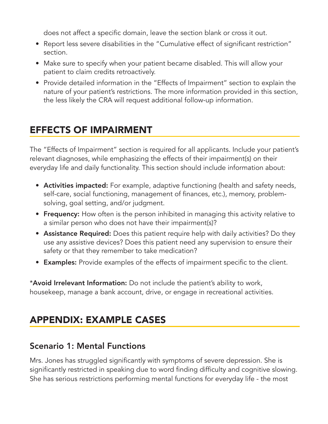does not affect a specific domain, leave the section blank or cross it out.

- Report less severe disabilities in the "Cumulative effect of significant restriction" section.
- Make sure to specify when your patient became disabled. This will allow your patient to claim credits retroactively.
- Provide detailed information in the "Effects of Impairment" section to explain the nature of your patient's restrictions. The more information provided in this section, the less likely the CRA will request additional follow-up information.

# EFFECTS OF IMPAIRMENT

The "Effects of Impairment" section is required for all applicants. Include your patient's relevant diagnoses, while emphasizing the effects of their impairment(s) on their everyday life and daily functionality. This section should include information about:

- Activities impacted: For example, adaptive functioning (health and safety needs, self-care, social functioning, management of finances, etc.), memory, problemsolving, goal setting, and/or judgment.
- Frequency: How often is the person inhibited in managing this activity relative to a similar person who does not have their impairment(s)?
- Assistance Required: Does this patient require help with daily activities? Do they use any assistive devices? Does this patient need any supervision to ensure their safety or that they remember to take medication?
- Examples: Provide examples of the effects of impairment specific to the client.

\*Avoid Irrelevant Information: Do not include the patient's ability to work, housekeep, manage a bank account, drive, or engage in recreational activities.

## APPENDIX: EXAMPLE CASES

### Scenario 1: Mental Functions

Mrs. Jones has struggled significantly with symptoms of severe depression. She is significantly restricted in speaking due to word finding difficulty and cognitive slowing. She has serious restrictions performing mental functions for everyday life - the most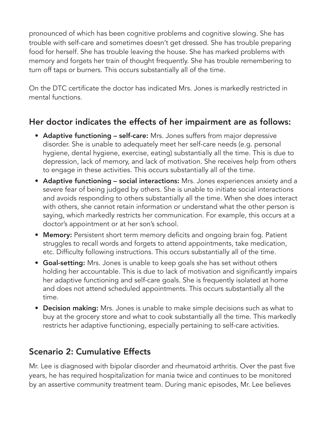pronounced of which has been cognitive problems and cognitive slowing. She has trouble with self-care and sometimes doesn't get dressed. She has trouble preparing food for herself. She has trouble leaving the house. She has marked problems with memory and forgets her train of thought frequently. She has trouble remembering to turn off taps or burners. This occurs substantially all of the time.

On the DTC certificate the doctor has indicated Mrs. Jones is markedly restricted in mental functions.

## Her doctor indicates the effects of her impairment are as follows:

- Adaptive functioning self-care: Mrs. Jones suffers from major depressive disorder. She is unable to adequately meet her self-care needs (e.g. personal hygiene, dental hygiene, exercise, eating) substantially all the time. This is due to depression, lack of memory, and lack of motivation. She receives help from others to engage in these activities. This occurs substantially all of the time.
- Adaptive functioning social interactions: Mrs. Jones experiences anxiety and a severe fear of being judged by others. She is unable to initiate social interactions and avoids responding to others substantially all the time. When she does interact with others, she cannot retain information or understand what the other person is saying, which markedly restricts her communication. For example, this occurs at a doctor's appointment or at her son's school.
- Memory: Persistent short term memory deficits and ongoing brain fog. Patient struggles to recall words and forgets to attend appointments, take medication, etc. Difficulty following instructions. This occurs substantially all of the time.
- Goal-setting: Mrs. Jones is unable to keep goals she has set without others holding her accountable. This is due to lack of motivation and significantly impairs her adaptive functioning and self-care goals. She is frequently isolated at home and does not attend scheduled appointments. This occurs substantially all the time.
- Decision making: Mrs. Jones is unable to make simple decisions such as what to buy at the grocery store and what to cook substantially all the time. This markedly restricts her adaptive functioning, especially pertaining to self-care activities.

## Scenario 2: Cumulative Effects

Mr. Lee is diagnosed with bipolar disorder and rheumatoid arthritis. Over the past five years, he has required hospitalization for mania twice and continues to be monitored by an assertive community treatment team. During manic episodes, Mr. Lee believes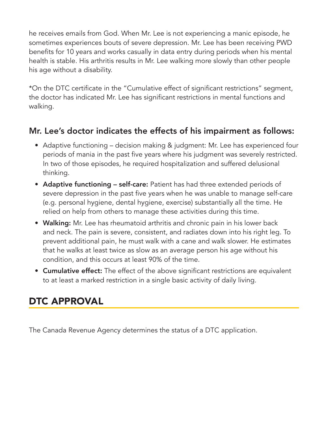he receives emails from God. When Mr. Lee is not experiencing a manic episode, he sometimes experiences bouts of severe depression. Mr. Lee has been receiving PWD benefits for 10 years and works casually in data entry during periods when his mental health is stable. His arthritis results in Mr. Lee walking more slowly than other people his age without a disability.

\*On the DTC certificate in the "Cumulative effect of significant restrictions" segment, the doctor has indicated Mr. Lee has significant restrictions in mental functions and walking.

## Mr. Lee's doctor indicates the effects of his impairment as follows:

- Adaptive functioning decision making & judgment: Mr. Lee has experienced four periods of mania in the past five years where his judgment was severely restricted. In two of those episodes, he required hospitalization and suffered delusional thinking.
- Adaptive functioning self-care: Patient has had three extended periods of severe depression in the past five years when he was unable to manage self-care (e.g. personal hygiene, dental hygiene, exercise) substantially all the time. He relied on help from others to manage these activities during this time.
- Walking: Mr. Lee has rheumatoid arthritis and chronic pain in his lower back and neck. The pain is severe, consistent, and radiates down into his right leg. To prevent additional pain, he must walk with a cane and walk slower. He estimates that he walks at least twice as slow as an average person his age without his condition, and this occurs at least 90% of the time.
- Cumulative effect: The effect of the above significant restrictions are equivalent to at least a marked restriction in a single basic activity of daily living.

## DTC APPROVAL

The Canada Revenue Agency determines the status of a DTC application.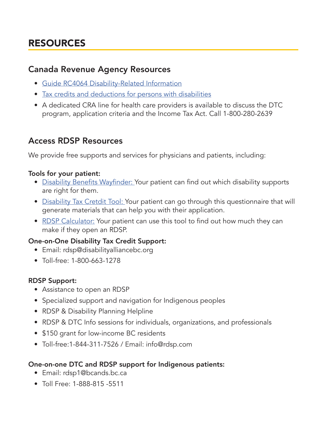# RESOURCES

#### Canada Revenue Agency Resources

- Guide RC4064 Disability-Related Information
- Tax credits and deductions for persons with disabilities
- A dedicated CRA line for health care providers is available to discuss the DTC program, application criteria and the Income Tax Act. Call 1-800-280-2639

## Access RDSP Resources

We provide free supports and services for physicians and patients, including:

#### Tools for your patient:

- Disability Benefits Wayfinder: Your patient can find out which disability supports are right for them.
- Disability Tax Cretdit Tool: Your patient can go through this questionnaire that will generate materials that can help you with their application.
- RDSP Calculator: Your patient can use this tool to find out how much they can make if they open an RDSP.

#### One-on-One Disability Tax Credit Support:

- Email: rdsp@disabilityalliancebc.org
- Toll-free: 1-800-663-1278

#### RDSP Support:

- Assistance to open an RDSP
- Specialized support and navigation for Indigenous peoples
- RDSP & Disability Planning Helpline
- RDSP & DTC Info sessions for individuals, organizations, and professionals
- \$150 grant for low-income BC residents
- Toll-free:1-844-311-7526 / Email: info@rdsp.com

#### One-on-one DTC and RDSP support for Indigenous patients:

- Email: rdsp1@bcands.bc.ca
- Toll Free: 1-888-815 -5511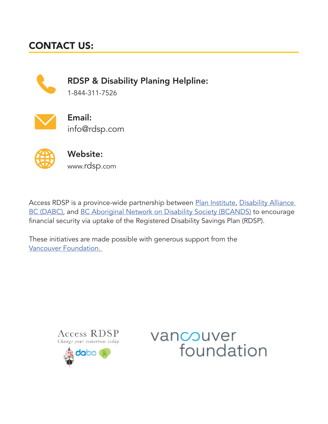# CONTACT US:



RDSP & Disability Planing Helpline:

1-844-311-7526



Email: info@rdsp.com



Website: www.rdsp.com

Access RDSP is a province-wide partnership between Plan Institute, Disability Alliance BC (DABC), and BC Aboriginal Network on Disability Society (BCANDS) to encourage financial security via uptake of the Registered Disability Savings Plan (RDSP).

These initiatives are made possible with generous support from the Vancouver Foundation.